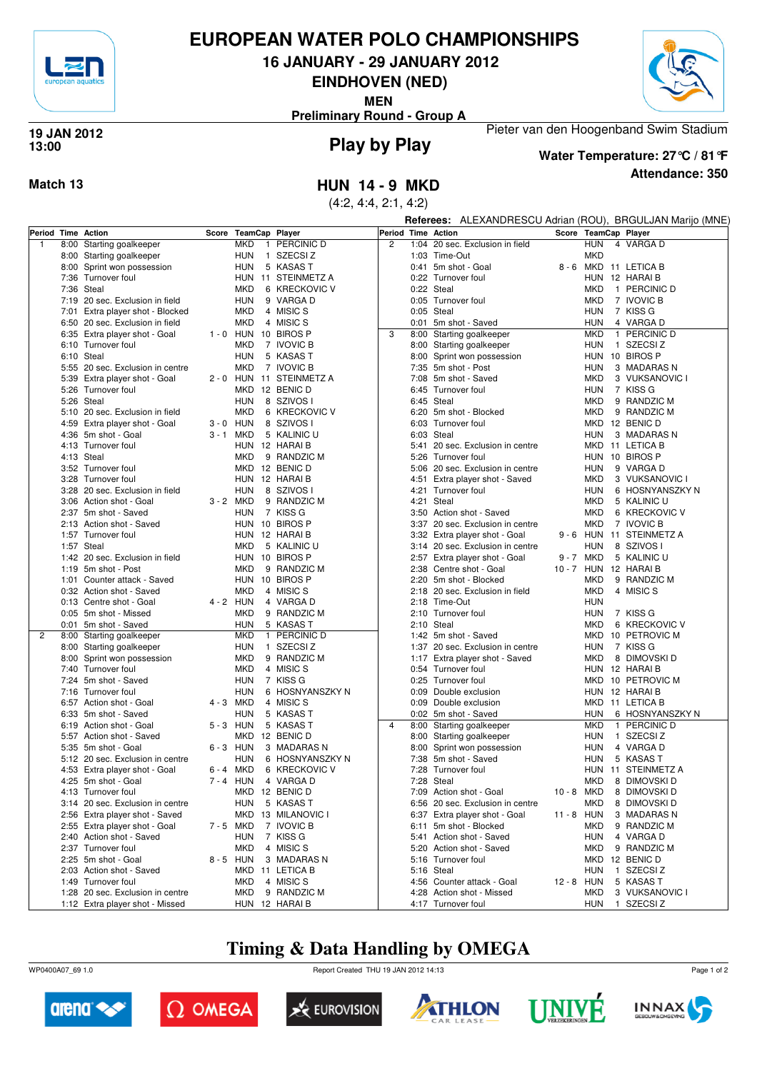

# **EUROPEAN WATER POLO CHAMPIONSHIPS**

**16 JANUARY - 29 JANUARY 2012**

**EINDHOVEN (NED)**

**MEN**

**Preliminary Round - Group A**



## **Play by Play 19 JAN 2012 13:00**



**Attendance: 350 Water Temperature: 27°C / 81°F**

Pieter van den Hoogenband Swim Stadium

**Match 13 HUN 14 - 9 MKD**

(4:2, 4:4, 2:1, 4:2)

|                    |                                                           |                      |                          |                    | <b>Referees:</b> ALEXANDRESCU Adrian (ROU), BRGULJAN Marijo (MNE) |            |             |                              |
|--------------------|-----------------------------------------------------------|----------------------|--------------------------|--------------------|-------------------------------------------------------------------|------------|-------------|------------------------------|
| Period Time Action |                                                           | Score TeamCap Player |                          | Period Time Action |                                                                   |            |             | Score TeamCap Player         |
| $\overline{1}$     | 8:00 Starting goalkeeper                                  | <b>MKD</b>           | 1 PERCINIC D             | $\overline{2}$     | 1:04 20 sec. Exclusion in field                                   |            | <b>HUN</b>  | 4 VARGA D                    |
|                    | 8:00 Starting goalkeeper                                  | <b>HUN</b>           | 1 SZECSIZ                |                    | 1:03 Time-Out                                                     |            | <b>MKD</b>  |                              |
|                    | 8:00 Sprint won possession                                | <b>HUN</b>           | 5 KASAS T                |                    | 0:41 5m shot - Goal                                               |            |             | 8 - 6 MKD 11 LETICA B        |
|                    | 7:36 Turnover foul                                        | HUN                  | 11 STEINMETZ A           |                    | 0:22 Turnover foul                                                |            |             | HUN 12 HARAI B               |
|                    | 7:36 Steal                                                | <b>MKD</b>           | 6 KRECKOVIC V            |                    | 0:22 Steal                                                        |            | MKD         | 1 PERCINIC D                 |
|                    | 7:19 20 sec. Exclusion in field                           | <b>HUN</b>           | 9 VARGA D                |                    | 0:05 Turnover foul                                                |            | MKD         | 7 IVOVIC B                   |
|                    | 7:01 Extra player shot - Blocked                          | <b>MKD</b>           | 4 MISIC S                |                    | $0:05$ Steal                                                      |            | HUN         | 7 KISS G                     |
|                    | 6:50 20 sec. Exclusion in field                           | <b>MKD</b>           | 4 MISIC S                |                    | 0:01 5m shot - Saved                                              |            | <b>HUN</b>  | 4 VARGA D                    |
|                    | 6:35 Extra player shot - Goal                             | 1 - 0 HUN 10 BIROS P |                          | 3                  | 8:00 Starting goalkeeper                                          |            | <b>MKD</b>  | 1 PERCINIC D                 |
|                    | 6:10 Turnover foul                                        | <b>MKD</b>           | 7 IVOVIC B               |                    | 8:00 Starting goalkeeper                                          |            | HUN         | 1 SZECSIZ                    |
|                    | 6:10 Steal                                                | <b>HUN</b>           | 5 KASAS T                |                    | 8:00 Sprint won possession                                        |            |             | HUN 10 BIROS P               |
|                    | 5:55 20 sec. Exclusion in centre                          | MKD                  | 7 IVOVIC B               |                    | 7:35 5m shot - Post                                               |            | HUN         | 3 MADARAS N                  |
|                    | 5:39 Extra player shot - Goal                             |                      | 2 - 0 HUN 11 STEINMETZ A |                    | 7:08 5m shot - Saved                                              |            | <b>MKD</b>  | 3 VUKSANOVIC I               |
|                    | 5:26 Turnover foul                                        |                      | MKD 12 BENIC D           |                    | 6:45 Turnover foul                                                |            | HUN         | 7 KISS G                     |
|                    | 5:26 Steal                                                | <b>HUN</b>           | 8 SZIVOS I               |                    | 6:45 Steal                                                        |            | <b>MKD</b>  | 9 RANDZIC M                  |
|                    | 5:10 20 sec. Exclusion in field                           | <b>MKD</b>           | 6 KRECKOVIC V            |                    | 6:20 5m shot - Blocked                                            |            | <b>MKD</b>  | 9 RANDZIC M                  |
|                    | 4:59 Extra player shot - Goal                             | $3 - 0$ HUN          | 8 SZIVOS I               |                    | 6:03 Turnover foul                                                |            |             | MKD 12 BENIC D               |
|                    | 4:36 5m shot - Goal                                       | 3-1 MKD              | 5 KALINIC U              |                    | 6:03 Steal                                                        |            | HUN         | 3 MADARAS N                  |
|                    | 4:13 Turnover foul                                        |                      | HUN 12 HARAIB            |                    | 5:41 20 sec. Exclusion in centre                                  |            |             | MKD 11 LETICA B              |
|                    | 4:13 Steal                                                | MKD                  | 9 RANDZIC M              |                    | 5:26 Turnover foul                                                |            |             | HUN 10 BIROS P               |
|                    | 3:52 Turnover foul                                        |                      | MKD 12 BENIC D           |                    | 5:06 20 sec. Exclusion in centre                                  |            | HUN         | 9 VARGA D                    |
|                    | 3:28 Turnover foul                                        |                      | HUN 12 HARAIB            |                    | 4:51 Extra player shot - Saved                                    |            | <b>MKD</b>  | 3 VUKSANOVIC                 |
|                    | 3:28 20 sec. Exclusion in field                           | <b>HUN</b>           | 8 SZIVOS I               |                    | 4:21 Turnover foul                                                |            | HUN         | 6 HOSNYANSZKY N              |
|                    | 3:06 Action shot - Goal                                   | 3 - 2 MKD            | 9 RANDZIC M              |                    | 4:21 Steal                                                        |            | <b>MKD</b>  | 5 KALINIC U                  |
|                    | 2:37 5m shot - Saved                                      | <b>HUN</b>           | 7 KISS G                 |                    | 3:50 Action shot - Saved                                          |            | <b>MKD</b>  | 6 KRECKOVIC V                |
|                    | 2:13 Action shot - Saved                                  |                      | HUN 10 BIROS P           |                    | 3:37 20 sec. Exclusion in centre                                  |            | <b>MKD</b>  | 7 IVOVIC B                   |
|                    | 1:57 Turnover foul                                        |                      | HUN 12 HARAIB            |                    | 3:32 Extra player shot - Goal                                     |            |             | 9 - 6 HUN 11 STEINMETZ A     |
|                    | 1:57 Steal                                                | MKD                  | 5 KALINIC U              |                    | 3:14 20 sec. Exclusion in centre                                  |            | <b>HUN</b>  | 8 SZIVOS I                   |
|                    | 1:42 20 sec. Exclusion in field                           |                      | HUN 10 BIROS P           |                    | 2:57 Extra player shot - Goal                                     |            | 9-7 MKD     | 5 KALINIC U                  |
|                    | 1:19 5m shot - Post                                       | MKD                  | 9 RANDZIC M              |                    | 2:38 Centre shot - Goal                                           |            |             | 10 - 7 HUN 12 HARAI B        |
|                    | 1:01 Counter attack - Saved                               |                      | HUN 10 BIROS P           |                    | 2:20 5m shot - Blocked                                            |            | <b>MKD</b>  | 9 RANDZIC M                  |
|                    | 0:32 Action shot - Saved                                  | <b>MKD</b>           | 4 MISIC S                |                    | 2:18 20 sec. Exclusion in field                                   |            | <b>MKD</b>  | 4 MISIC S                    |
|                    | 0:13 Centre shot - Goal                                   | 4 - 2 HUN            | 4 VARGA D                |                    | 2:18 Time-Out                                                     |            | <b>HUN</b>  |                              |
|                    | 0:05 5m shot - Missed                                     | MKD                  | 9 RANDZIC M              |                    | 2:10 Turnover foul                                                |            | HUN         | 7 KISS G                     |
|                    | 0:01 5m shot - Saved                                      | <b>HUN</b>           | 5 KASAS T                |                    | $2:10$ Steal                                                      |            | MKD         | 6 KRECKOVIC V                |
| $\overline{2}$     | 8:00 Starting goalkeeper                                  | <b>MKD</b>           | 1 PERCINIC D             |                    | 1:42 5m shot - Saved                                              |            |             | MKD 10 PETROVIC M            |
|                    | 8:00 Starting goalkeeper                                  | <b>HUN</b>           | 1 SZECSIZ                |                    | 1:37 20 sec. Exclusion in centre                                  |            | HUN         | 7 KISS G                     |
|                    | 8:00 Sprint won possession                                | <b>MKD</b>           | 9 RANDZIC M              |                    | 1:17 Extra player shot - Saved                                    |            | MKD         | 8 DIMOVSKI D                 |
|                    | 7:40 Turnover foul                                        | MKD                  | 4 MISIC S                |                    | 0:54 Turnover foul                                                |            |             | HUN 12 HARAI B               |
|                    | 7:24 5m shot - Saved                                      | <b>HUN</b>           | 7 KISS G                 |                    | 0:25 Turnover foul                                                |            |             | MKD 10 PETROVIC M            |
|                    | 7:16 Turnover foul                                        | <b>HUN</b>           | 6 HOSNYANSZKY N          |                    | 0:09 Double exclusion                                             |            |             | HUN 12 HARAI B               |
|                    | 6:57 Action shot - Goal                                   | 4 - 3 MKD            | 4 MISIC S                |                    | 0:09 Double exclusion                                             |            |             | MKD 11 LETICA B              |
|                    | 6:33 5m shot - Saved                                      | <b>HUN</b>           | 5 KASAS T                |                    | 0:02 5m shot - Saved                                              |            | <b>HUN</b>  | 6 HOSNYANSZKY N              |
|                    | 6:19 Action shot - Goal                                   | 5-3 HUN              | 5 KASAS T                | $\overline{4}$     | 8:00 Starting goalkeeper                                          |            | <b>MKD</b>  | 1 PERCINIC D                 |
|                    | 5:57 Action shot - Saved                                  | MKD                  | 12 BENIC D               |                    | 8:00 Starting goalkeeper                                          |            | HUN         | 1 SZECSIZ                    |
|                    | 5:35 5m shot - Goal                                       | 6-3 HUN              | 3 MADARAS N              |                    | 8:00 Sprint won possession                                        |            | HUN         | 4 VARGA D                    |
|                    | 5:12 20 sec. Exclusion in centre                          | <b>HUN</b>           | 6 HOSNYANSZKY N          |                    | 7:38 5m shot - Saved                                              |            | HUN         | 5 KASAS T                    |
|                    | 4:53 Extra player shot - Goal                             | 6-4 MKD              | 6 KRECKOVIC V            |                    | 7:28 Turnover foul                                                |            |             | HUN 11 STEINMETZ A           |
|                    | 4:25 5m shot - Goal                                       |                      | 7-4 HUN 4 VARGA D        |                    | 7:28 Steal                                                        |            |             | MKD 8 DIMOVSKI D             |
|                    | 4:13 Turnover foul                                        |                      | MKD 12 BENIC D           |                    | 7:09 Action shot - Goal                                           |            |             | 10 - 8 MKD 8 DIMOVSKI D      |
|                    | 3:14 20 sec. Exclusion in centre                          | <b>HUN</b>           | 5 KASAS T                |                    | 6:56 20 sec. Exclusion in centre                                  |            | MKD         | 8 DIMOVSKI D                 |
|                    | 2:56 Extra player shot - Saved                            |                      | MKD 13 MILANOVIC I       |                    | 6:37 Extra player shot - Goal<br>6:11 5m shot - Blocked           | 11 - 8 HUN |             | 3 MADARAS N                  |
|                    | 2:55 Extra player shot - Goal<br>2:40 Action shot - Saved | 7 - 5 MKD            | 7 IVOVIC B<br>7 KISS G   |                    | 5:41 Action shot - Saved                                          |            | MKD.<br>HUN | 9 RANDZIC M<br>4 VARGA D     |
|                    | 2:37 Turnover foul                                        | <b>HUN</b><br>MKD    | 4 MISIC S                |                    | 5:20 Action shot - Saved                                          |            | MKD         | 9 RANDZIC M                  |
|                    | 2:25 5m shot - Goal                                       |                      | 3 MADARAS N              |                    | 5:16 Turnover foul                                                |            |             |                              |
|                    | 2:03 Action shot - Saved                                  | 8-5 HUN              | MKD 11 LETICA B          |                    | 5:16 Steal                                                        |            | HUN         | MKD 12 BENIC D<br>1 SZECSI Z |
|                    | 1:49 Turnover foul                                        | MKD                  | 4 MISIC S                |                    | 4:56 Counter attack - Goal                                        | 12 - 8 HUN |             | 5 KASAS T                    |
|                    | 1:28 20 sec. Exclusion in centre                          | MKD                  | 9 RANDZIC M              |                    | 4:28 Action shot - Missed                                         |            | MKD         | 3 VUKSANOVIC I               |
|                    | 1:12 Extra player shot - Missed                           |                      | HUN 12 HARAI B           |                    | 4:17 Turnover foul                                                |            | HUN         | 1 SZECSI Z                   |
|                    |                                                           |                      |                          |                    |                                                                   |            |             |                              |

# **Timing & Data Handling by OMEGA**

WP0400A07\_69 1.0 Report Created THU 19 JAN 2012 14:13













Page 1 of 2